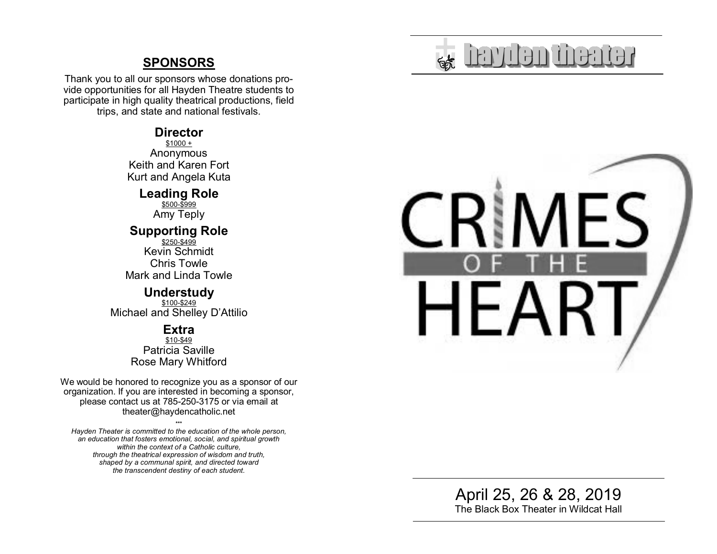# **SPONSORS**

Thank you to all our sponsors whose donations provide opportunities for all Hayden Theatre students to participate in high quality theatrical productions, field trips, and state and national festivals.

### **Director**

\$1000 + Anonymous Keith and Karen Fort Kurt and Angela Kuta

**Leading Role** 

\$500-\$999 Amy Teply

# **Supporting Role**

\$250-\$499 Kevin Schmidt Chris Towle Mark and Linda Towle

#### **Understudy**

\$100-\$249 Michael and Shelley D'Attilio

## **Extra**

\$10-\$49 Patricia Saville Rose Mary Whitford

We would be honored to recognize you as a sponsor of our organization. If you are interested in becoming a sponsor, please contact us at 785-250-3175 or via email at theater@haydencatholic.net

\*\*\* *Hayden Theater is committed to the education of the whole person, an education that fosters emotional, social, and spiritual growth within the context of a Catholic culture, through the theatrical expression of wisdom and truth, shaped by a communal spirit, and directed toward the transcendent destiny of each student.*



April 25, 26 & 28, 2019 The Black Box Theater in Wildcat Hall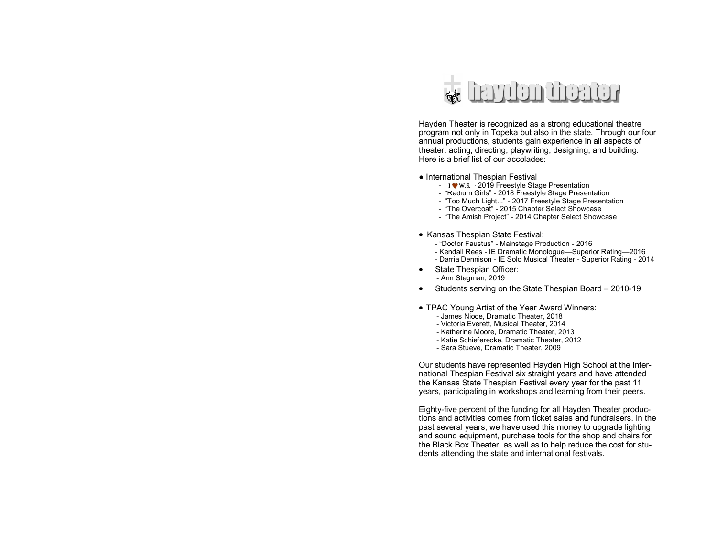

Hayden Theater is recognized as a strong educational theatre program not only in Topeka but also in the state. Through our four annual productions, students gain experience in all aspects of theater: acting, directing, playwriting, designing, and building. Here is a brief list of our accolades:

#### ● International Thespian Festival

- ―I W.S.‖ 2019 Freestyle Stage Presentation
- "Radium Girls" 2018 Freestyle Stage Presentation
- "Too Much Light..." 2017 Freestyle Stage Presentation
- "The Overcoat" 2015 Chapter Select Showcase
- "The Amish Project" 2014 Chapter Select Showcase
- Kansas Thespian State Festival:
	- "Doctor Faustus" Mainstage Production 2016
	- Kendall Rees IE Dramatic Monologue—Superior Rating—2016 - Darria Dennison - IE Solo Musical Theater - Superior Rating - 2014
- State Thespian Officer: - Ann Stegman, 2019
- Students serving on the State Thespian Board 2010-19
- TPAC Young Artist of the Year Award Winners:
	- James Nioce, Dramatic Theater, 2018
	- Victoria Everett, Musical Theater, 2014
	- Katherine Moore, Dramatic Theater, 2013
	- Katie Schieferecke, Dramatic Theater, 2012
	- Sara Stueve, Dramatic Theater, 2009

Our students have represented Hayden High School at the International Thespian Festival six straight years and have attended the Kansas State Thespian Festival every year for the past 11 years, participating in workshops and learning from their peers.

Eighty-five percent of the funding for all Hayden Theater productions and activities comes from ticket sales and fundraisers. In the past several years, we have used this money to upgrade lighting and sound equipment, purchase tools for the shop and chairs for the Black Box Theater, as well as to help reduce the cost for students attending the state and international festivals.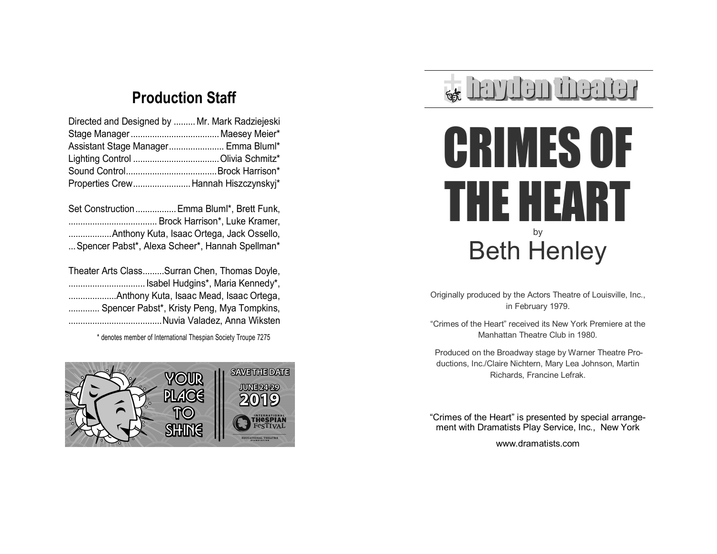# **Production Staff**

| Directed and Designed by  Mr. Mark Radziejeski |
|------------------------------------------------|
|                                                |
| Assistant Stage Manager Emma Bluml*            |
|                                                |
|                                                |
| Properties Crew Hannah Hiszczynskyj*           |
|                                                |

| Set Construction Emma Bluml*, Brett Funk,       |
|-------------------------------------------------|
|                                                 |
|                                                 |
| Spencer Pabst*, Alexa Scheer*, Hannah Spellman* |
|                                                 |

| Theater Arts ClassSurran Chen, Thomas Doyle, |
|----------------------------------------------|
| Isabel Hudgins*, Maria Kennedy*,             |
|                                              |
| Spencer Pabst*, Kristy Peng, Mya Tompkins,   |
|                                              |

\* denotes member of International Thespian Society Troupe 7275



# **havitan finantar**



Originally produced by the Actors Theatre of Louisville, Inc., in February 1979.

―Crimes of the Heart‖ received its New York Premiere at the Manhattan Theatre Club in 1980.

Produced on the Broadway stage by Warner Theatre Productions, Inc./Claire Nichtern, Mary Lea Johnson, Martin Richards, Francine Lefrak.

"Crimes of the Heart" is presented by special arrangement with Dramatists Play Service, Inc., New York

www.dramatists.com